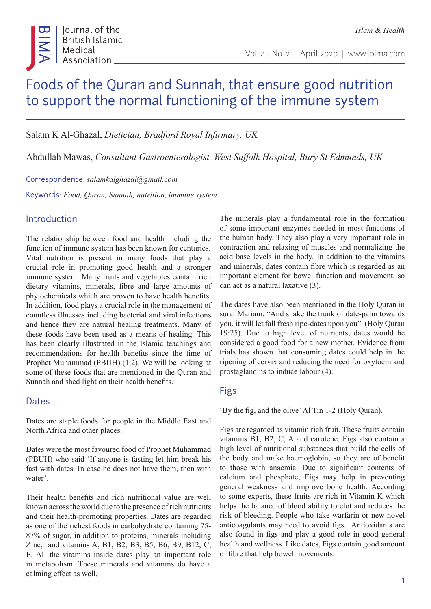# Foods of the Quran and Sunnah, that ensure good nutrition to support the normal functioning of the immune system

Salam K Al-Ghazal, *Dietician, Bradford Royal Infirmary, UK*

Abdullah Mawas, *Consultant Gastroenterologist, West Suffolk Hospital, Bury St Edmunds, UK*

Correspondence: *salamkalghazal@gmail.com*

Keywords: *Food, Quran, Sunnah, nutrition, immune system*

### Introduction

The relationship between food and health including the function of immune system has been known for centuries. Vital nutrition is present in many foods that play a crucial role in promoting good health and a stronger immune system. Many fruits and vegetables contain rich dietary vitamins, minerals, fibre and large amounts of phytochemicals which are proven to have health benefits. In addition, food plays a crucial role in the management of countless illnesses including bacterial and viral infections and hence they are natural healing treatments. Many of these foods have been used as a means of healing. This has been clearly illustrated in the Islamic teachings and recommendations for health benefits since the time of Prophet Muhammad (PBUH) (1,2). We will be looking at some of these foods that are mentioned in the Quran and Sunnah and shed light on their health benefits.

#### Dates

Dates are staple foods for people in the Middle East and North Africa and other places.

Dates were the most favoured food of Prophet Muhammad (PBUH) who said 'If anyone is fasting let him break his fast with dates. In case he does not have them, then with water'.

Their health benefits and rich nutritional value are well known across the world due to the presence of rich nutrients and their health-promoting properties. Dates are regarded as one of the richest foods in carbohydrate containing 75- 87% of sugar, in addition to proteins, minerals including Zinc, and vitamins A, B1, B2, B3, B5, B6, B9, B12, C, E. All the vitamins inside dates play an important role in metabolism. These minerals and vitamins do have a calming effect as well.

The minerals play a fundamental role in the formation of some important enzymes needed in most functions of the human body. They also play a very important role in contraction and relaxing of muscles and normalizing the acid base levels in the body. In addition to the vitamins and minerals, dates contain fibre which is regarded as an important element for bowel function and movement, so can act as a natural laxative (3).

The dates have also been mentioned in the Holy Quran in surat Mariam. "And shake the trunk of date-palm towards you, it will let fall fresh ripe-dates upon you". (Holy Quran 19:25). Due to high level of nutrients, dates would be considered a good food for a new mother. Evidence from trials has shown that consuming dates could help in the ripening of cervix and reducing the need for oxytocin and prostaglandins to induce labour (4).

## Figs

'By the fig, and the olive' Al Tin 1-2 (Holy Quran).

Figs are regarded as vitamin rich fruit. These fruits contain vitamins B1, B2, C, A and carotene. Figs also contain a high level of nutritional substances that build the cells of the body and make haemoglobin, so they are of benefit to those with anaemia. Due to significant contents of calcium and phosphate, Figs may help in preventing general weakness and improve bone health. According to some experts, these fruits are rich in Vitamin K which helps the balance of blood ability to clot and reduces the risk of bleeding. People who take warfarin or new novel anticoagulants may need to avoid figs. Antioxidants are also found in figs and play a good role in good general health and wellness. Like dates, Figs contain good amount of fibre that help bowel movements.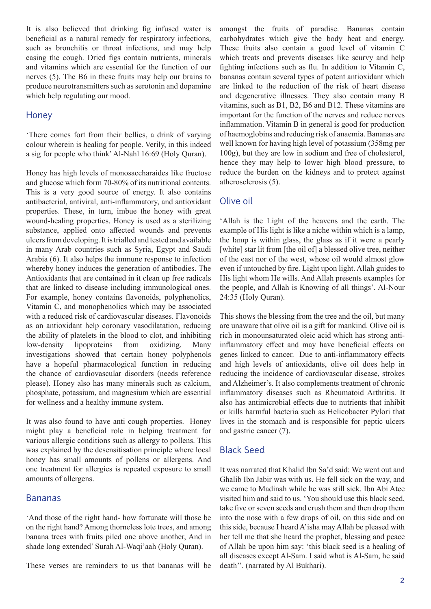It is also believed that drinking fig infused water is beneficial as a natural remedy for respiratory infections, such as bronchitis or throat infections, and may help easing the cough. Dried figs contain nutrients, minerals and vitamins which are essential for the function of our nerves (5). The B6 in these fruits may help our brains to produce neurotransmitters such as serotonin and dopamine which help regulating our mood.

#### **Honey**

'There comes fort from their bellies, a drink of varying colour wherein is healing for people. Verily, in this indeed a sig for people who think' Al-Nahl 16:69 (Holy Quran).

Honey has high levels of monosaccharaides like fructose and glucose which form 70-80% of its nutritional contents. This is a very good source of energy. It also contains antibacterial, antiviral, anti-inflammatory, and antioxidant properties. These, in turn, imbue the honey with great wound-healing properties. Honey is used as a sterilizing substance, applied onto affected wounds and prevents ulcers from developing. It is trialled and tested and available in many Arab countries such as Syria, Egypt and Saudi Arabia (6). It also helps the immune response to infection whereby honey induces the generation of antibodies. The Antioxidants that are contained in it clean up free radicals that are linked to disease including immunological ones. For example, honey contains flavonoids, polyphenolics, Vitamin C, and monophenolics which may be associated with a reduced risk of cardiovascular diseases. Flavonoids as an antioxidant help coronary vasodilatation, reducing the ability of platelets in the blood to clot, and inhibiting low-density lipoproteins from oxidizing. Many investigations showed that certain honey polyphenols have a hopeful pharmacological function in reducing the chance of cardiovascular disorders (needs reference please). Honey also has many minerals such as calcium, phosphate, potassium, and magnesium which are essential for wellness and a healthy immune system.

It was also found to have anti cough properties. Honey might play a beneficial role in helping treatment for various allergic conditions such as allergy to pollens. This was explained by the desensitisation principle where local honey has small amounts of pollens or allergens. And one treatment for allergies is repeated exposure to small amounts of allergens.

#### Bananas

'And those of the right hand- how fortunate will those be on the right hand? Among thorneless lote trees, and among banana trees with fruits piled one above another, And in shade long extended' Surah Al-Waqi'aah (Holy Quran).

These verses are reminders to us that bananas will be

amongst the fruits of paradise. Bananas contain carbohydrates which give the body heat and energy. These fruits also contain a good level of vitamin C which treats and prevents diseases like scurvy and help fighting infections such as flu. In addition to Vitamin C, bananas contain several types of potent antioxidant which are linked to the reduction of the risk of heart disease and degenerative illnesses. They also contain many B vitamins, such as B1, B2, B6 and B12. These vitamins are important for the function of the nerves and reduce nerves inflammation. Vitamin B in general is good for production of haemoglobins and reducing risk of anaemia. Bananas are well known for having high level of potassium (358mg per 100g), but they are low in sodium and free of cholesterol, hence they may help to lower high blood pressure, to reduce the burden on the kidneys and to protect against atherosclerosis (5).

#### Olive oil

'Allah is the Light of the heavens and the earth. The example of His light is like a niche within which is a lamp, the lamp is within glass, the glass as if it were a pearly [white] star lit from [the oil of] a blessed olive tree, neither of the east nor of the west, whose oil would almost glow even if untouched by fire. Light upon light. Allah guides to His light whom He wills. And Allah presents examples for the people, and Allah is Knowing of all things'. Al-Nour 24:35 (Holy Quran).

This shows the blessing from the tree and the oil, but many are unaware that olive oil is a gift for mankind. Olive oil is rich in monounsaturated oleic acid which has strong antiinflammatory effect and may have beneficial effects on genes linked to cancer. Due to anti-inflammatory effects and high levels of antioxidants, olive oil does help in reducing the incidence of cardiovascular disease, strokes and Alzheimer's. It also complements treatment of chronic inflammatory diseases such as Rheumatoid Arthritis. It also has antimicrobial effects due to nutrients that inhibit or kills harmful bacteria such as Helicobacter Pylori that lives in the stomach and is responsible for peptic ulcers and gastric cancer (7).

## Black Seed

It was narrated that Khalid Ibn Sa'd said: We went out and Ghalib Ibn Jabir was with us. He fell sick on the way, and we came to Madinah while he was still sick. Ibn Abi Atee visited him and said to us. 'You should use this black seed, take five or seven seeds and crush them and then drop them into the nose with a few drops of oil, on this side and on this side, because I heard A'isha may Allah be pleased with her tell me that she heard the prophet, blessing and peace of Allah be upon him say: 'this black seed is a healing of all diseases except Al-Sam. I said what is Al-Sam, he said death''. (narrated by Al Bukhari).